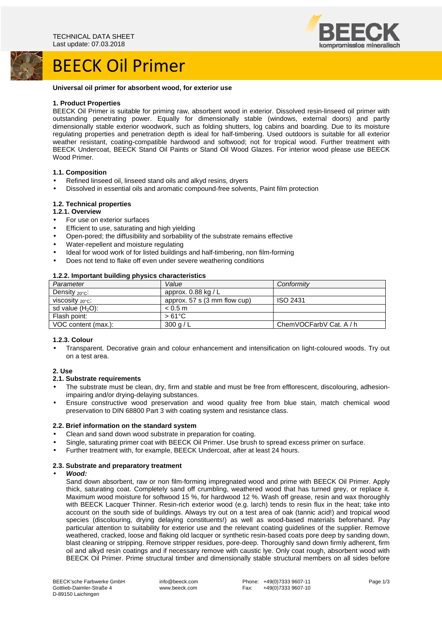### BEECK Oil Primer



#### **Universal oil primer for absorbent wood, for exterior use**

### **1. Product Properties**

BEECK Oil Primer is suitable for priming raw, absorbent wood in exterior. Dissolved resin-linseed oil primer with outstanding penetrating power. Equally for dimensionally stable (windows, external doors) and partly dimensionally stable exterior woodwork, such as folding shutters, log cabins and boarding. Due to its moisture regulating properties and penetration depth is ideal for half-timbering. Used outdoors is suitable for all exterior weather resistant, coating-compatible hardwood and softwood; not for tropical wood. Further treatment with BEECK Undercoat, BEECK Stand Oil Paints or Stand Oil Wood Glazes. For interior wood please use BEECK Wood Primer.

### **1.1. Composition**

- Refined linseed oil, linseed stand oils and alkyd resins, dryers
- Dissolved in essential oils and aromatic compound-free solvents, Paint film protection

### **1.2. Technical properties**

### **1.2.1. Overview**

- For use on exterior surfaces
- Efficient to use, saturating and high yielding
- Open-pored; the diffusibility and sorbability of the substrate remains effective
- Water-repellent and moisture regulating
- Ideal for wood work of for listed buildings and half-timbering, non film-forming
- Does not tend to flake off even under severe weathering conditions

### **1.2.2. Important building physics characteristics**

| Parameter                        | Value                                  | Conformity              |
|----------------------------------|----------------------------------------|-------------------------|
| Density $_{20^{\circ}$ C:        | approx. $0.88$ kg / L                  |                         |
| viscosity $_{\rm 20^{\circ}C}$ : | approx. $57 \text{ s}$ (3 mm flow cup) | <b>ISO 2431</b>         |
| sd value $(H2O)$ :               | < 0.5 m                                |                         |
| Flash point:                     | $>61^{\circ}$ C                        |                         |
| VOC content (max.):              | 300 g/L                                | ChemVOCFarbV Cat. A / h |

### **1.2.3. Colour**

• Transparent. Decorative grain and colour enhancement and intensification on light-coloured woods. Try out on a test area.

### **2. Use**

### **2.1. Substrate requirements**

- The substrate must be clean, dry, firm and stable and must be free from efflorescent, discolouring, adhesionimpairing and/or drying-delaying substances.
- Ensure constructive wood preservation and wood quality free from blue stain, match chemical wood preservation to DIN 68800 Part 3 with coating system and resistance class.

### **2.2. Brief information on the standard system**

- Clean and sand down wood substrate in preparation for coating.
- Single, saturating primer coat with BEECK Oil Primer. Use brush to spread excess primer on surface.
- Further treatment with, for example, BEECK Undercoat, after at least 24 hours.

### **2.3. Substrate and preparatory treatment**

### • **Wood:**

Sand down absorbent, raw or non film-forming impregnated wood and prime with BEECK Oil Primer. Apply thick, saturating coat. Completely sand off crumbling, weathered wood that has turned grey, or replace it. Maximum wood moisture for softwood 15 %, for hardwood 12 %. Wash off grease, resin and wax thoroughly with BEECK Lacquer Thinner. Resin-rich exterior wood (e.g. larch) tends to resin flux in the heat; take into account on the south side of buildings. Always try out on a test area of oak (tannic acid!) and tropical wood species (discolouring, drying delaying constituents!) as well as wood-based materials beforehand. Pay particular attention to suitability for exterior use and the relevant coating guidelines of the supplier. Remove weathered, cracked, loose and flaking old lacquer or synthetic resin-based coats pore deep by sanding down, blast cleaning or stripping. Remove stripper residues, pore-deep. Thoroughly sand down firmly adherent, firm oil and alkyd resin coatings and if necessary remove with caustic lye. Only coat rough, absorbent wood with BEECK Oil Primer. Prime structural timber and dimensionally stable structural members on all sides before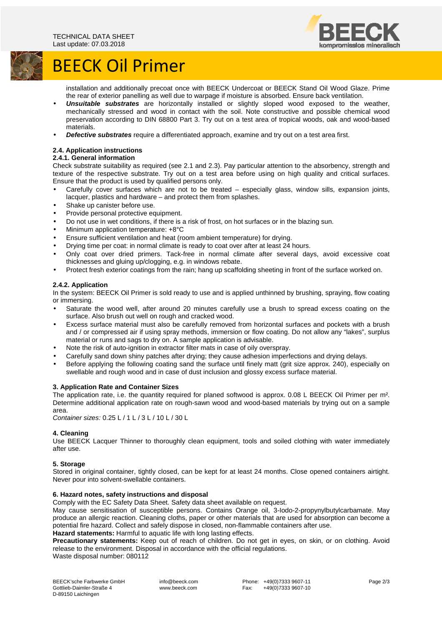

# BEECK Oil Primer

installation and additionally precoat once with BEECK Undercoat or BEECK Stand Oil Wood Glaze. Prime the rear of exterior panelling as well due to warpage if moisture is absorbed. Ensure back ventilation.

- **Unsuitable substrates** are horizontally installed or slightly sloped wood exposed to the weather, mechanically stressed and wood in contact with the soil. Note constructive and possible chemical wood preservation according to DIN 68800 Part 3. Try out on a test area of tropical woods, oak and wood-based materials.
- **Defective substrates** require a differentiated approach, examine and try out on a test area first.

### **2.4. Application instructions**

### **2.4.1. General information**

Check substrate suitability as required (see 2.1 and 2.3). Pay particular attention to the absorbency, strength and texture of the respective substrate. Try out on a test area before using on high quality and critical surfaces. Ensure that the product is used by qualified persons only.

- Carefully cover surfaces which are not to be treated especially glass, window sills, expansion joints, lacquer, plastics and hardware – and protect them from splashes.
- Shake up canister before use.
- Provide personal protective equipment.
- Do not use in wet conditions, if there is a risk of frost, on hot surfaces or in the blazing sun.
- Minimum application temperature: +8°C
- Ensure sufficient ventilation and heat (room ambient temperature) for drying.
- Drying time per coat: in normal climate is ready to coat over after at least 24 hours.
- Only coat over dried primers. Tack-free in normal climate after several days, avoid excessive coat thicknesses and gluing up/clogging, e.g. in windows rebate.
- Protect fresh exterior coatings from the rain; hang up scaffolding sheeting in front of the surface worked on.

### **2.4.2. Application**

In the system: BEECK Oil Primer is sold ready to use and is applied unthinned by brushing, spraying, flow coating or immersing.

- Saturate the wood well, after around 20 minutes carefully use a brush to spread excess coating on the surface. Also brush out well on rough and cracked wood.
- Excess surface material must also be carefully removed from horizontal surfaces and pockets with a brush and / or compressed air if using spray methods, immersion or flow coating. Do not allow any "lakes", surplus material or runs and sags to dry on. A sample application is advisable.
- Note the risk of auto-ignition in extractor filter mats in case of oily overspray.
- Carefully sand down shiny patches after drying; they cause adhesion imperfections and drying delays.
- Before applying the following coating sand the surface until finely matt (grit size approx. 240), especially on swellable and rough wood and in case of dust inclusion and glossy excess surface material.

### **3. Application Rate and Container Sizes**

The application rate, i.e. the quantity required for planed softwood is approx. 0.08 L BEECK Oil Primer per m². Determine additional application rate on rough-sawn wood and wood-based materials by trying out on a sample area.

Container sizes: 0.25 L / 1 L / 3 L / 10 L / 30 L

### **4. Cleaning**

Use BEECK Lacquer Thinner to thoroughly clean equipment, tools and soiled clothing with water immediately after use.

### **5. Storage**

Stored in original container, tightly closed, can be kept for at least 24 months. Close opened containers airtight. Never pour into solvent-swellable containers.

### **6. Hazard notes, safety instructions and disposal**

Comply with the EC Safety Data Sheet. Safety data sheet available on request.

May cause sensitisation of susceptible persons. Contains Orange oil, 3-Iodo-2-propynylbutylcarbamate. May produce an allergic reaction. Cleaning cloths, paper or other materials that are used for absorption can become a potential fire hazard. Collect and safely dispose in closed, non-flammable containers after use.

### **Hazard statements:** Harmful to aquatic life with long lasting effects.

**Precautionary statements:** Keep out of reach of children. Do not get in eyes, on skin, or on clothing. Avoid release to the environment. Disposal in accordance with the official regulations. Waste disposal number: 080112

 info@beeck.com www.beeck.com